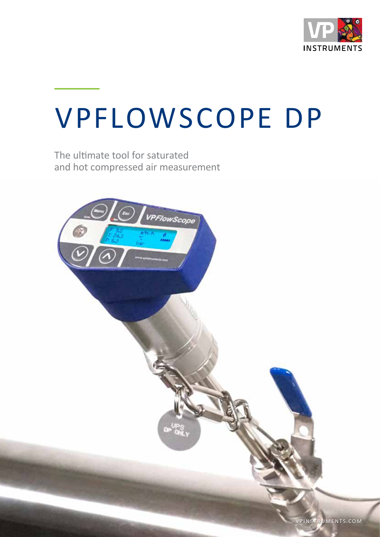

# VPFLOWSCOPE DP

The ultimate tool for saturated and hot compressed air measurement

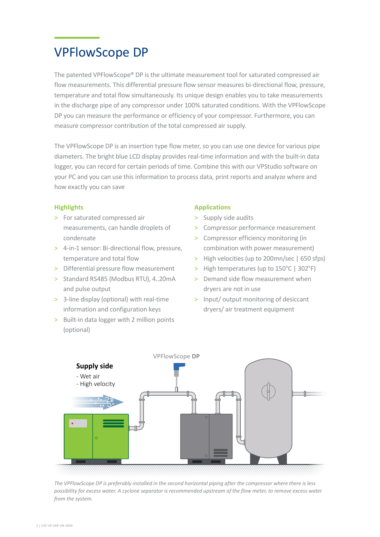### VPFlowScope DP

The patented VPFlowScope® DP is the ultimate measurement tool for saturated compressed air flow measurements. This differential pressure flow sensor measures bi-directional flow, pressure, temperature and total flow simultaneously. Its unique design enables you to take measurements in the discharge pipe of any compressor under 100% saturated conditions. With the VPFlowScope DP you can measure the performance or efficiency of your compressor. Furthermore, you can measure compressor contribution of the total compressed air supply.

The VPFlowScope DP is an insertion type flow meter, so you can use one device for various pipe diameters. The bright blue LCD display provides real-time information and with the built-in data logger, you can record for certain periods of time. Combine this with our VPStudio software on your PC and you can use this information to process data, print reports and analyze where and how exactly you can save

#### **Highlights**

- > For saturated compressed air measurements, can handle droplets of condensate
- > 4-in-1 sensor: Bi-directional flow, pressure, temperature and total flow
- > Differential pressure flow measurement
- > Standard RS485 (Modbus RTU), 4..20mA and pulse output
- > 3-line display (optional) with real-time information and configuration keys
- > Built-in data logger with 2 million points (optional)

#### **Applications**

- > Supply side audits
- > Compressor performance measurement
- > Compressor efficiency monitoring (in combination with power measurement)
- > High velocities (up to 200mn/sec | 650 sfps)
- > High temperatures (up to 150°C | 302°F)
- > Demand side flow measurement when dryers are not in use
- > Input/ output monitoring of desiccant dryers/ air treatment equipment



*The VPFlowScope DP is preferably installed in the second horizontal piping after the compressor where there is less possibility for excess water. A cyclone separator is recommended upstream of the flow meter, to remove excess water from the system.*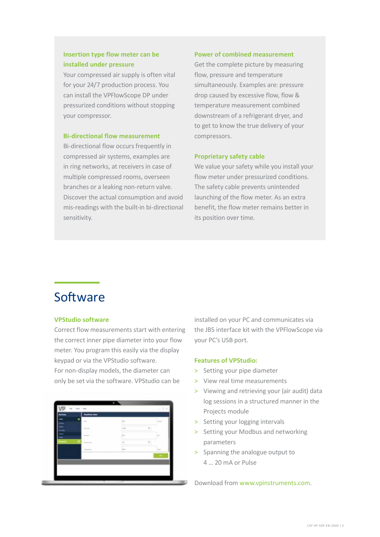### **Insertion type flow meter can be installed under pressure**

Your compressed air supply is often vital for your 24/7 production process. You can install the VPFlowScope DP under pressurized conditions without stopping your compressor.

#### **Bi-directional flow measurement**

Bi-directional flow occurs frequently in compressed air systems, examples are in ring networks, at receivers in case of multiple compressed rooms, overseen branches or a leaking non-return valve. Discover the actual consumption and avoid mis-readings with the built-in bi-directional sensitivity.

#### **Power of combined measurement**

Get the complete picture by measuring flow, pressure and temperature simultaneously. Examples are: pressure drop caused by excessive flow, flow & temperature measurement combined downstream of a refrigerant dryer, and to get to know the true delivery of your compressors.

#### **Proprietary safety cable**

We value your safety while you install your flow meter under pressurized conditions. The safety cable prevents unintended launching of the flow meter. As an extra benefit, the flow meter remains better in its position over time.

### Software

#### **VPStudio software**

Correct flow measurements start with entering the correct inner pipe diameter into your flow meter. You program this easily via the display keypad or via the VPStudio software. For non-display models, the diameter can only be set via the software. VPStudio can be



installed on your PC and communicates via the JB5 interface kit with the VPFlowScope via your PC's USB port.

#### **Features of VPStudio:**

- > Setting your pipe diameter
- > View real time measurements
- > Viewing and retrieving your (air audit) data log sessions in a structured manner in the Projects module
- > Setting your logging intervals
- > Setting your Modbus and networking parameters
- > Spanning the analogue output to 4 … 20 mA or Pulse

Download from www.vpinstruments.com.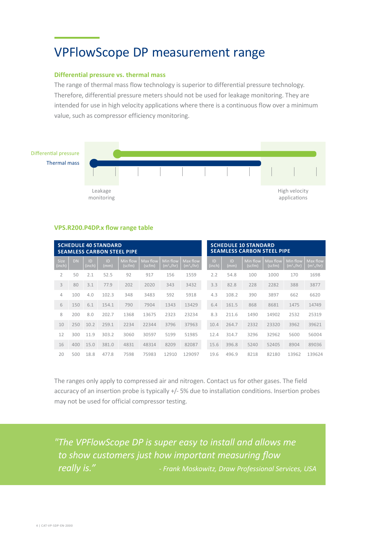### VPFlowScope DP measurement range

#### **Differential pressure vs. thermal mass**

The range of thermal mass flow technology is superior to differential pressure technology. Therefore, differential pressure meters should not be used for leakage monitoring. They are intended for use in high velocity applications where there is a continuous flow over a minimum value, such as compressor efficiency monitoring.



#### **VPS.R200.P4DP.x flow range table**

| <b>SCHEDULE 40 STANDARD</b><br><b>SEAMLESS CARBON STEEL PIPE</b> |     |              |           |                    |                    |                                   |                                   |  | <b>SCHEDULE 10 STANDARD</b><br><b>SEAMLESS CARBON STEEL PIPE</b> |            |                    |                    |                                   |                                   |
|------------------------------------------------------------------|-----|--------------|-----------|--------------------|--------------------|-----------------------------------|-----------------------------------|--|------------------------------------------------------------------|------------|--------------------|--------------------|-----------------------------------|-----------------------------------|
| <b>Size</b><br>(inch)                                            | DN  | ID<br>(inch) | ID<br>ˈmm | Min flow<br>(scfm) | Max flow<br>(scfm) | Min flow<br>(m <sup>3</sup> )/hr) | Max flow<br>(m <sup>3</sup> )/hr) |  | ID<br>(inch)                                                     | ID<br>(mmˈ | Min flow<br>(scfm) | Max flow<br>(scfm) | Min flow<br>(m <sup>3</sup> )/hr) | Max flow<br>(m <sup>3</sup> )/hr) |
| 2                                                                | 50  | 2.1          | 52.5      | 92                 | 917                | 156                               | 1559                              |  | 2.2                                                              | 54.8       | 100                | 1000               | 170                               | 1698                              |
| 3                                                                | 80  | 3.1          | 77.9      | 202                | 2020               | 343                               | 3432                              |  | 3.3                                                              | 82.8       | 228                | 2282               | 388                               | 3877                              |
| $\overline{4}$                                                   | 100 | 4.0          | 102.3     | 348                | 3483               | 592                               | 5918                              |  | 4.3                                                              | 108.2      | 390                | 3897               | 662                               | 6620                              |
| 6                                                                | 150 | 6.1          | 154.1     | 790                | 7904               | 1343                              | 13429                             |  | 6.4                                                              | 161.5      | 868                | 8681               | 1475                              | 14749                             |
| 8                                                                | 200 | 8.0          | 202.7     | 1368               | 13675              | 2323                              | 23234                             |  | 8.3                                                              | 211.6      | 1490               | 14902              | 2532                              | 25319                             |
| 10                                                               | 250 | 10.2         | 259.1     | 2234               | 22344              | 3796                              | 37963                             |  | 10.4                                                             | 264.7      | 2332               | 23320              | 3962                              | 39621                             |
| 12                                                               | 300 | 11.9         | 303.2     | 3060               | 30597              | 5199                              | 51985                             |  | 12.4                                                             | 314.7      | 3296               | 32962              | 5600                              | 56004                             |
| 16                                                               | 400 | 15.0         | 381.0     | 4831               | 48314              | 8209                              | 82087                             |  | 15.6                                                             | 396.8      | 5240               | 52405              | 8904                              | 89036                             |
| 20                                                               | 500 | 18.8         | 477.8     | 7598               | 75983              | 12910                             | 129097                            |  | 19.6                                                             | 496.9      | 8218               | 82180              | 13962                             | 139624                            |

The ranges only apply to compressed air and nitrogen. Contact us for other gases. The field accuracy of an insertion probe is typically +/- 5% due to installation conditions. Insertion probes may not be used for official compressor testing.

*"The VPFlowScope DP is super easy to install and allows me to show customers just how important measuring flow really is." - Frank Moskowitz, Draw Professional Services, USA*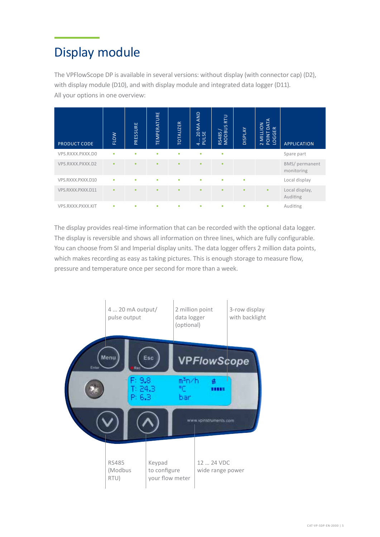### Display module

The VPFlowScope DP is available in several versions: without display (with connector cap) (D2), with display module (D10), and with display module and integrated data logger (D11). All your options in one overview:

| PRODUCT CODE      | <b>FLOW</b> | PRESSURE | TEMPERATURE | <b>TOTALIZER</b> | MAAND<br>20 <sub>S</sub><br>$\frac{1}{4}$ | RTU<br>SC<br>RS485,<br>MODBI | <b>MJdSIO</b> | ATA<br><b>MILLION</b><br>$\overline{\Omega}$<br>$\alpha$<br>ш<br>$\circ$<br>POINT<br>$\overline{N}$ | <b>APPLICATION</b>           |
|-------------------|-------------|----------|-------------|------------------|-------------------------------------------|------------------------------|---------------|-----------------------------------------------------------------------------------------------------|------------------------------|
| VPS.RXXX.PXXX.DO  | ٠           | ٠        | ٠           | ٠                | ٠                                         | ٠                            |               |                                                                                                     | Spare part                   |
| VPS.RXXX.PXXX.D2  | ٠           | ٠        | $\bullet$   | $\bullet$        | ٠                                         | $\bullet$                    |               |                                                                                                     | BMS/ permanent<br>monitoring |
| VPS.RXXX.PXXX.D10 | ٠           | ٠        | ٠           | ٠                | ٠                                         | ٠                            | ٠             |                                                                                                     | Local display                |
| VPS.RXXX.PXXX.D11 | ٠           | ٠        | $\bullet$   | $\bullet$        | ٠                                         | ٠                            | ٠             | ۰                                                                                                   | Local display,<br>Auditing   |
| VPS.RXXX.PXXX.KIT | ٠           | ٠        | ٠           | ٠                | ٠                                         | ٠                            | ٠             | ۰                                                                                                   | Auditing                     |

The display provides real-time information that can be recorded with the optional data logger. The display is reversible and shows all information on three lines, which are fully configurable. You can choose from SI and Imperial display units. The data logger offers 2 million data points, which makes recording as easy as taking pictures. This is enough storage to measure flow, pressure and temperature once per second for more than a week.

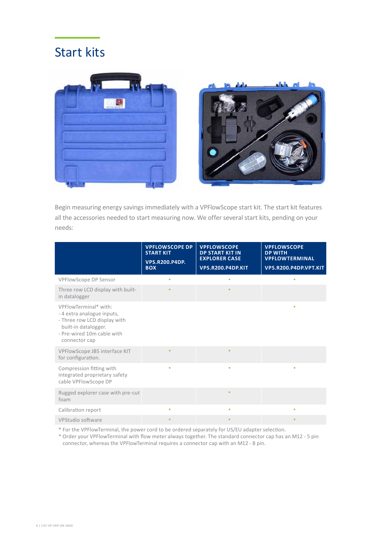### Start kits



Begin measuring energy savings immediately with a VPFlowScope start kit. The start kit features all the accessories needed to start measuring now. We offer several start kits, pending on your needs:

|                                                                                                                                                            | <b>VPFLOWSCOPE DP</b><br><b>START KIT</b><br><b>VPS.R200.P4DP.</b><br><b>BOX</b> | <b>VPFLOWSCOPE</b><br><b>DP START KIT IN</b><br><b>EXPLORER CASE</b><br>VPS.R200.P4DP.KIT | <b>VPFLOWSCOPE</b><br><b>DP WITH</b><br><b>VPFLOWTERMINAL</b><br>VPS.R200.P4DP.VPT.KIT |
|------------------------------------------------------------------------------------------------------------------------------------------------------------|----------------------------------------------------------------------------------|-------------------------------------------------------------------------------------------|----------------------------------------------------------------------------------------|
| VPFlowScope DP Sensor                                                                                                                                      | ٠                                                                                | ٠                                                                                         |                                                                                        |
| Three row LCD display with built-<br>in datalogger                                                                                                         |                                                                                  |                                                                                           |                                                                                        |
| VPFlowTerminal* with:<br>- 4 extra analogue inputs,<br>- Three row LCD display with<br>built-in datalogger.<br>- Pre-wired 10m cable with<br>connector cap |                                                                                  |                                                                                           | ۰                                                                                      |
| VPFlowScope JB5 interface KIT<br>for configuration.                                                                                                        | ٠                                                                                | $\bullet$                                                                                 |                                                                                        |
| Compression fitting with<br>integrated proprietary safety<br>cable VPFlowScope DP                                                                          | ٠                                                                                | ٠                                                                                         | ٠                                                                                      |
| Rugged explorer case with pre-cut<br>foam                                                                                                                  |                                                                                  | ٠                                                                                         |                                                                                        |
| Calibration report                                                                                                                                         | ٠                                                                                | ٠                                                                                         | ٠                                                                                      |
| VPStudio software                                                                                                                                          | ٠                                                                                | ۰                                                                                         |                                                                                        |

\* For the VPFlowTerminal, the power cord to be ordered separately for US/EU adapter selection.

\* Order your VPFlowTerminal with flow meter always together. The standard connector cap has an M12 - 5 pin connector, whereas the VPFlowTerminal requires a connector cap with an M12 - 8 pin.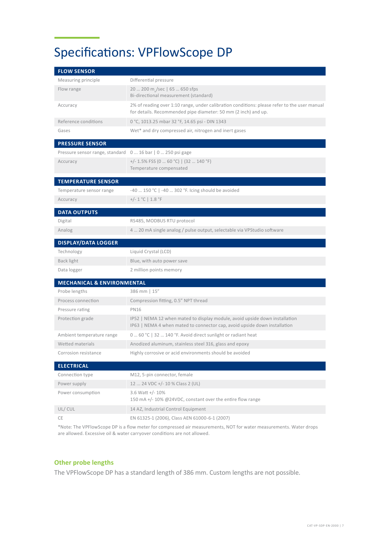## Specifications: VPFlowScope DP

| <b>FLOW SENSOR</b>                                        |                                                                                                                                                                |
|-----------------------------------------------------------|----------------------------------------------------------------------------------------------------------------------------------------------------------------|
| Measuring principle                                       | Differential pressure                                                                                                                                          |
| Flow range                                                | 20  200 m /sec   65  650 sfps<br>Bi-directional measurement (standard)                                                                                         |
| Accuracy                                                  | 2% of reading over 1:10 range, under calibration conditions: please refer to the user manual<br>for details. Recommended pipe diameter: 50 mm (2 inch) and up. |
| Reference conditions                                      | 0 °C, 1013.25 mbar 32 °F, 14.65 psi - DIN 1343                                                                                                                 |
| Gases                                                     | Wet* and dry compressed air, nitrogen and inert gases                                                                                                          |
| <b>PRESSURE SENSOR</b>                                    |                                                                                                                                                                |
| Pressure sensor range, standard 0 16 bar   0 250 psi gage |                                                                                                                                                                |
| Accuracy                                                  | $+/- 1.5\%$ FSS (0  60 °C)   (32  140 °F)<br>Temperature compensated                                                                                           |
| <b>TEMPERATURE SENSOR</b>                                 |                                                                                                                                                                |
| Temperature sensor range                                  | -40  150 °C   -40  302 °F. Icing should be avoided                                                                                                             |
| Accuracy                                                  | +/- $1 °C$   $1.8 °F$                                                                                                                                          |
| <b>DATA OUTPUTS</b>                                       |                                                                                                                                                                |
| Digital                                                   | RS485, MODBUS RTU protocol                                                                                                                                     |
| Analog                                                    | 4  20 mA single analog / pulse output, selectable via VPStudio software                                                                                        |
| <b>DISPLAY/DATA LOGGER</b>                                |                                                                                                                                                                |
| Technology                                                | Liquid Crystal (LCD)                                                                                                                                           |
| Back light                                                | Blue, with auto power save                                                                                                                                     |
| Data logger                                               | 2 million points memory                                                                                                                                        |
| <b>MECHANICAL &amp; ENVIRONMENTAL</b>                     |                                                                                                                                                                |
| Probe lengths                                             | 386 mm   15"                                                                                                                                                   |
| Process connection                                        | Compression fitting, 0.5" NPT thread                                                                                                                           |
| Pressure rating                                           | <b>PN16</b>                                                                                                                                                    |
| Protection grade                                          | IP52   NEMA 12 when mated to display module, avoid upside down installation<br>IP63   NEMA 4 when mated to connector cap, avoid upside down installation       |
| Ambient temperature range                                 | 0  60 °C   32  140 °F. Avoid direct sunlight or radiant heat                                                                                                   |
| Wetted materials                                          | Anodized aluminum, stainless steel 316, glass and epoxy                                                                                                        |
| Corrosion resistance                                      | Highly corrosive or acid environments should be avoided                                                                                                        |
| <b>ELECTRICAL</b>                                         |                                                                                                                                                                |
| Connection type                                           | M12, 5-pin connector, female                                                                                                                                   |
| Power supply                                              | 12  24 VDC +/- 10 % Class 2 (UL)                                                                                                                               |
| Power consumption                                         | 3.6 Watt +/- 10%<br>150 mA +/- 10% @24VDC, constant over the entire flow range                                                                                 |
| UL/CUL                                                    | 14 AZ, Industrial Control Equipment                                                                                                                            |
| CE                                                        | EN 61325-1 (2006), Class AEN 61000-6-1 (2007)                                                                                                                  |

\*Note: The VPFlowScope DP is a flow meter for compressed air measurements, NOT for water measurements. Water drops are allowed. Excessive oil & water carryover conditions are not allowed.

#### **Other probe lengths**

The VPFlowScope DP has a standard length of 386 mm. Custom lengths are not possible.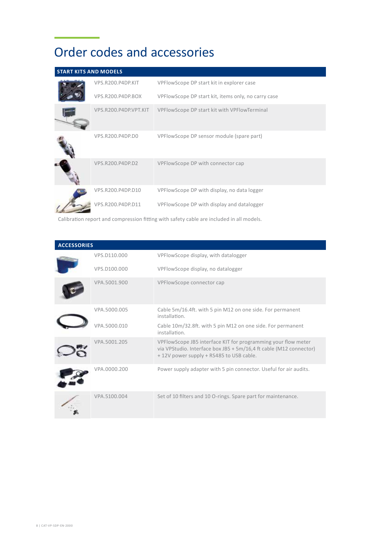# Order codes and accessories

| <b>START KITS AND MODELS</b> |                       |                                                     |
|------------------------------|-----------------------|-----------------------------------------------------|
|                              | VPS.R200.P4DP.KIT     | VPFlowScope DP start kit in explorer case           |
|                              | VPS.R200.P4DP.BOX     | VPFlowScope DP start kit, items only, no carry case |
|                              | VPS.R200.P4DP.VPT.KIT | VPFlowScope DP start kit with VPFlowTerminal        |
|                              | VPS.R200.P4DP.D0      | VPFlowScope DP sensor module (spare part)           |
|                              | VPS.R200.P4DP.D2      | VPFlowScope DP with connector cap                   |
|                              | VPS.R200.P4DP.D10     | VPFlowScope DP with display, no data logger         |
|                              | VPS.R200.P4DP.D11     | VPFlowScope DP with display and datalogger          |

Calibration report and compression fitting with safety cable are included in all models.

| <b>ACCESSORIES</b> |              |                                                                                                                                                                                |  |  |  |  |  |
|--------------------|--------------|--------------------------------------------------------------------------------------------------------------------------------------------------------------------------------|--|--|--|--|--|
|                    | VPS.D110.000 | VPFlowScope display, with datalogger                                                                                                                                           |  |  |  |  |  |
|                    | VPS.D100.000 | VPFlowScope display, no datalogger                                                                                                                                             |  |  |  |  |  |
|                    | VPA.5001.900 | VPFlowScope connector cap                                                                                                                                                      |  |  |  |  |  |
|                    | VPA.5000.005 | Cable 5m/16.4ft. with 5 pin M12 on one side. For permanent<br>installation.                                                                                                    |  |  |  |  |  |
|                    | /PA.5000.010 | Cable 10m/32.8ft. with 5 pin M12 on one side. For permanent<br>installation.                                                                                                   |  |  |  |  |  |
|                    | VPA.5001.205 | VPFlowScope JB5 interface KIT for programming your flow meter<br>via VPStudio. Interface box JB5 + 5m/16,4 ft cable (M12 connector)<br>+12V power supply + RS485 to USB cable. |  |  |  |  |  |
|                    | VPA.0000.200 | Power supply adapter with 5 pin connector. Useful for air audits.                                                                                                              |  |  |  |  |  |
|                    | VPA.5100.004 | Set of 10 filters and 10 O-rings. Spare part for maintenance.                                                                                                                  |  |  |  |  |  |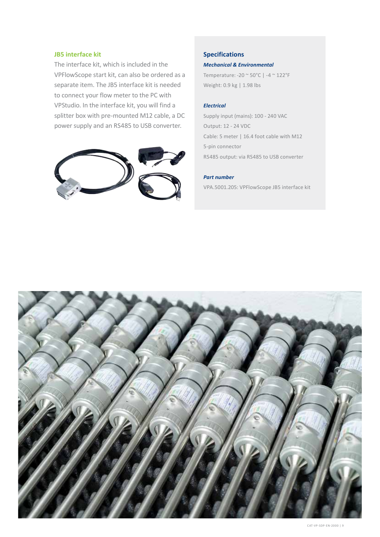#### **JB5 interface kit**

The interface kit, which is included in the VPFlowScope start kit, can also be ordered as a separate item. The JB5 interface kit is needed to connect your flow meter to the PC with VPStudio. In the interface kit, you will find a splitter box with pre-mounted M12 cable, a DC power supply and an RS485 to USB converter.



#### **Specifications**

#### *Mechanical & Environmental*

Temperature: -20 ~ 50°C | -4 ~ 122°F Weight: 0.9 kg | 1.98 lbs

#### *Electrical*

Supply input (mains): 100 - 240 VAC Output: 12 - 24 VDC Cable: 5 meter | 16.4 foot cable with M12 5-pin connector RS485 output: via RS485 to USB converter

#### *Part number*

VPA.5001.205: VPFlowScope JB5 interface kit

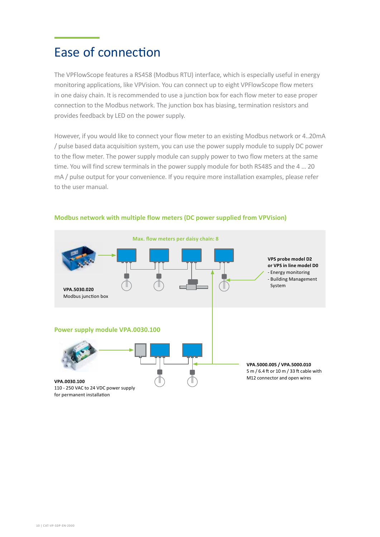### Ease of connection

The VPFlowScope features a RS458 (Modbus RTU) interface, which is especially useful in energy monitoring applications, like VPVision. You can connect up to eight VPFlowScope flow meters in one daisy chain. It is recommended to use a junction box for each flow meter to ease proper connection to the Modbus network. The junction box has biasing, termination resistors and provides feedback by LED on the power supply.

However, if you would like to connect your flow meter to an existing Modbus network or 4..20mA / pulse based data acquisition system, you can use the power supply module to supply DC power to the flow meter. The power supply module can supply power to two flow meters at the same time. You will find screw terminals in the power supply module for both RS485 and the 4 … 20 mA / pulse output for your convenience. If you require more installation examples, please refer to the user manual.



#### **Modbus network with multiple flow meters (DC power supplied from VPVision)**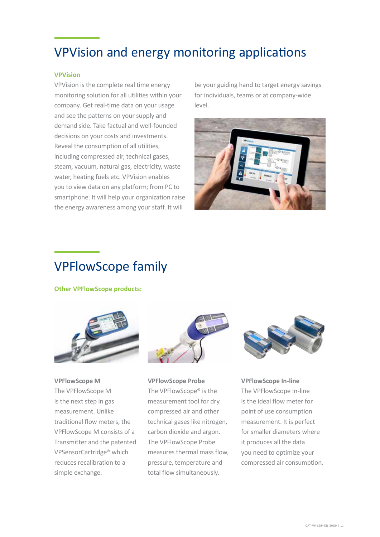### VPVision and energy monitoring applications

#### **VPVision**

VPVision is the complete real time energy monitoring solution for all utilities within your company. Get real-time data on your usage and see the patterns on your supply and demand side. Take factual and well-founded decisions on your costs and investments. Reveal the consumption of all utilities, including compressed air, technical gases, steam, vacuum, natural gas, electricity, waste water, heating fuels etc. VPVision enables you to view data on any platform; from PC to smartphone. It will help your organization raise the energy awareness among your staff. It will

be your guiding hand to target energy savings for individuals, teams or at company-wide level.



### VPFlowScope family

**Other VPFlowScope products:** 



**VPFlowScope M** The VPFlowScope M is the next step in gas measurement. Unlike traditional flow meters, the VPFlowScope M consists of a Transmitter and the patented VPSensorCartridge® which reduces recalibration to a simple exchange.



**VPFlowScope Probe** The VPFlowScope® is the measurement tool for dry compressed air and other technical gases like nitrogen, carbon dioxide and argon. The VPFlowScope Probe measures thermal mass flow, pressure, temperature and total flow simultaneously.



**VPFlowScope In-line** The VPFlowScope In-line is the ideal flow meter for point of use consumption measurement. It is perfect for smaller diameters where it produces all the data you need to optimize your compressed air consumption.